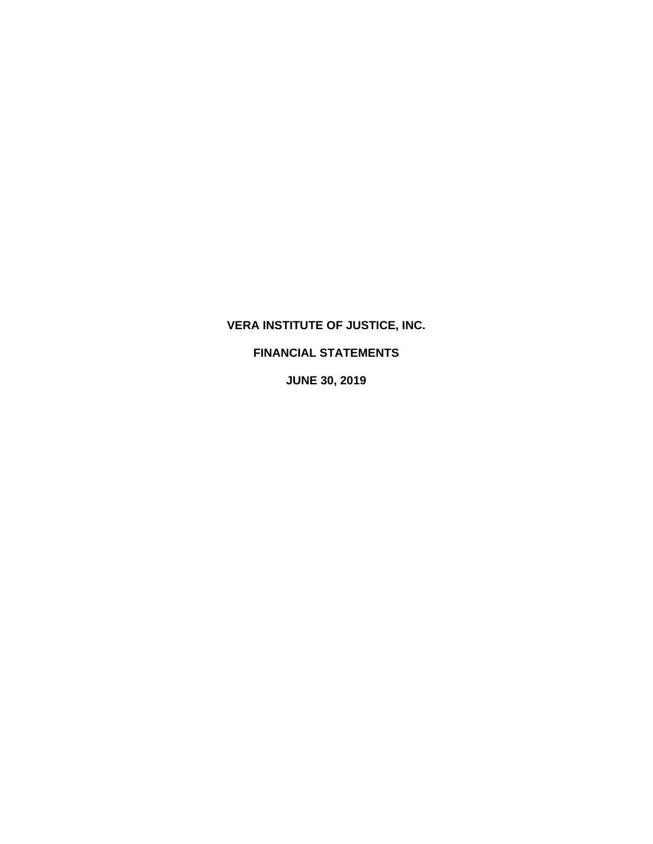# **VERA INSTITUTE OF JUSTICE, INC.**

## **FINANCIAL STATEMENTS**

**JUNE 30, 2019**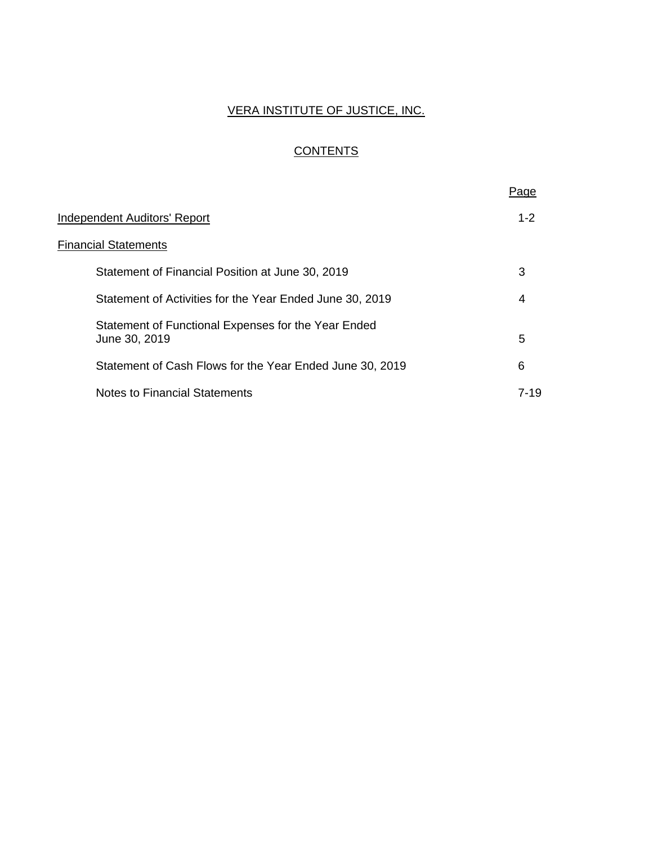# VERA INSTITUTE OF JUSTICE, INC.

# **CONTENTS**

|                                                                      | Page    |
|----------------------------------------------------------------------|---------|
| Independent Auditors' Report                                         | $1 - 2$ |
| <b>Financial Statements</b>                                          |         |
| Statement of Financial Position at June 30, 2019                     | 3       |
| Statement of Activities for the Year Ended June 30, 2019             | 4       |
| Statement of Functional Expenses for the Year Ended<br>June 30, 2019 | 5       |
| Statement of Cash Flows for the Year Ended June 30, 2019             | 6       |
| <b>Notes to Financial Statements</b>                                 | 7-19    |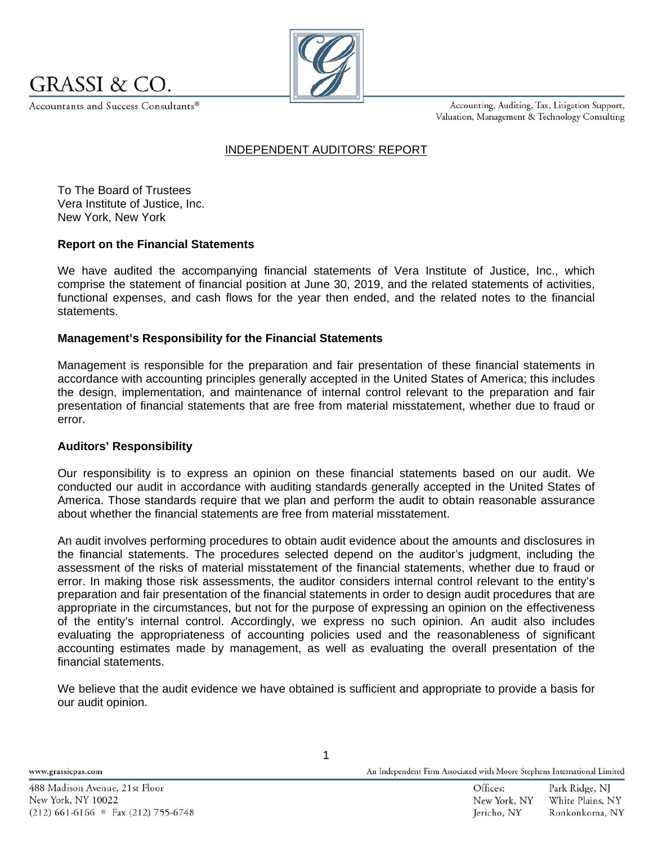

Accountants and Success Consultants®



Accounting, Auditing, Tax, Litigation Support, Valuation, Management & Technology Consulting

## INDEPENDENT AUDITORS' REPORT

To The Board of Trustees Vera Institute of Justice, Inc. New York, New York

## **Report on the Financial Statements**

We have audited the accompanying financial statements of Vera Institute of Justice, Inc., which comprise the statement of financial position at June 30, 2019, and the related statements of activities, functional expenses, and cash flows for the year then ended, and the related notes to the financial statements.

## **Management's Responsibility for the Financial Statements**

Management is responsible for the preparation and fair presentation of these financial statements in accordance with accounting principles generally accepted in the United States of America; this includes the design, implementation, and maintenance of internal control relevant to the preparation and fair presentation of financial statements that are free from material misstatement, whether due to fraud or error.

#### **Auditors' Responsibility**

Our responsibility is to express an opinion on these financial statements based on our audit. We conducted our audit in accordance with auditing standards generally accepted in the United States of America. Those standards require that we plan and perform the audit to obtain reasonable assurance about whether the financial statements are free from material misstatement.

An audit involves performing procedures to obtain audit evidence about the amounts and disclosures in the financial statements. The procedures selected depend on the auditor's judgment, including the assessment of the risks of material misstatement of the financial statements, whether due to fraud or error. In making those risk assessments, the auditor considers internal control relevant to the entity's preparation and fair presentation of the financial statements in order to design audit procedures that are appropriate in the circumstances, but not for the purpose of expressing an opinion on the effectiveness of the entity's internal control. Accordingly, we express no such opinion. An audit also includes evaluating the appropriateness of accounting policies used and the reasonableness of significant accounting estimates made by management, as well as evaluating the overall presentation of the financial statements.

We believe that the audit evidence we have obtained is sufficient and appropriate to provide a basis for our audit opinion.

www.grassicpas.com

1

An Independent Firm Associated with Moore Stephens International Limited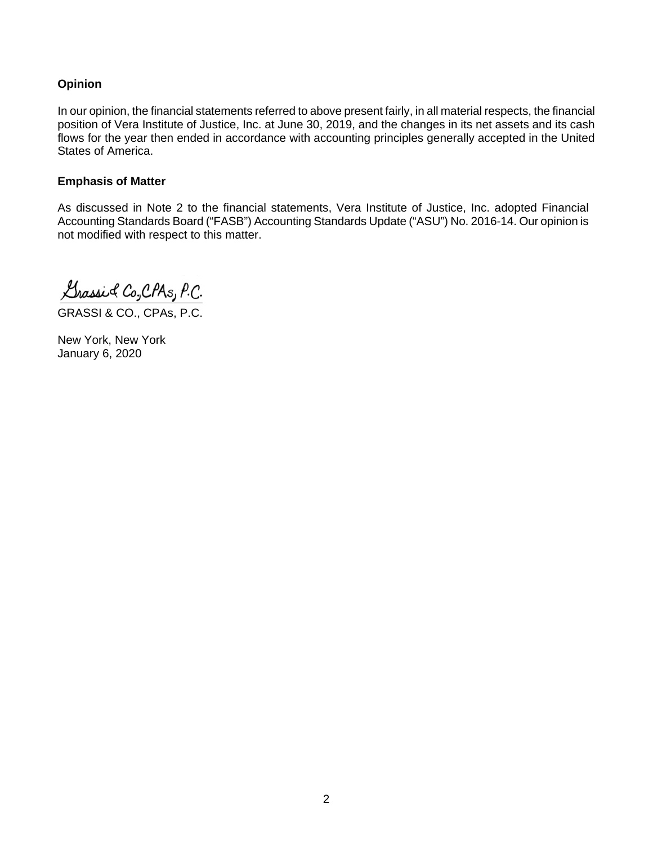## **Opinion**

In our opinion, the financial statements referred to above present fairly, in all material respects, the financial position of Vera Institute of Justice, Inc. at June 30, 2019, and the changes in its net assets and its cash flows for the year then ended in accordance with accounting principles generally accepted in the United States of America.

## **Emphasis of Matter**

As discussed in Note 2 to the financial statements, Vera Institute of Justice, Inc. adopted Financial Accounting Standards Board ("FASB") Accounting Standards Update ("ASU") No. 2016-14. Our opinion is not modified with respect to this matter.

Grassic Co, CPAS, P.C.

GRASSI & CO., CPAs, P.C.

New York, New York January 6, 2020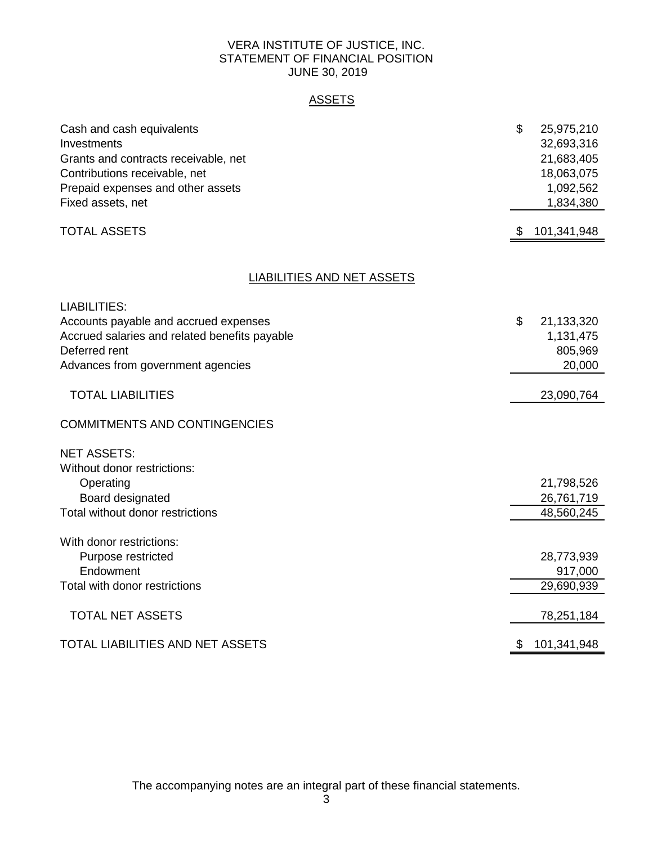## VERA INSTITUTE OF JUSTICE, INC. STATEMENT OF FINANCIAL POSITION JUNE 30, 2019

## ASSETS

| Cash and cash equivalents                     | \$<br>25,975,210  |
|-----------------------------------------------|-------------------|
| Investments                                   | 32,693,316        |
| Grants and contracts receivable, net          | 21,683,405        |
| Contributions receivable, net                 | 18,063,075        |
| Prepaid expenses and other assets             | 1,092,562         |
| Fixed assets, net                             | 1,834,380         |
| <b>TOTAL ASSETS</b>                           | \$<br>101,341,948 |
| <b>LIABILITIES AND NET ASSETS</b>             |                   |
|                                               |                   |
| <b>LIABILITIES:</b>                           |                   |
| Accounts payable and accrued expenses         | \$<br>21,133,320  |
| Accrued salaries and related benefits payable | 1,131,475         |
| Deferred rent                                 | 805,969           |
| Advances from government agencies             | 20,000            |
|                                               |                   |
| <b>TOTAL LIABILITIES</b>                      | 23,090,764        |
| <b>COMMITMENTS AND CONTINGENCIES</b>          |                   |
| <b>NET ASSETS:</b>                            |                   |
| Without donor restrictions:                   |                   |
| Operating                                     | 21,798,526        |
| Board designated                              | 26,761,719        |
| Total without donor restrictions              | 48,560,245        |
|                                               |                   |
| With donor restrictions:                      |                   |
| Purpose restricted                            | 28,773,939        |
| Endowment                                     | 917,000           |
| Total with donor restrictions                 | 29,690,939        |
|                                               |                   |
| <b>TOTAL NET ASSETS</b>                       | 78,251,184        |
| TOTAL LIABILITIES AND NET ASSETS              | \$<br>101,341,948 |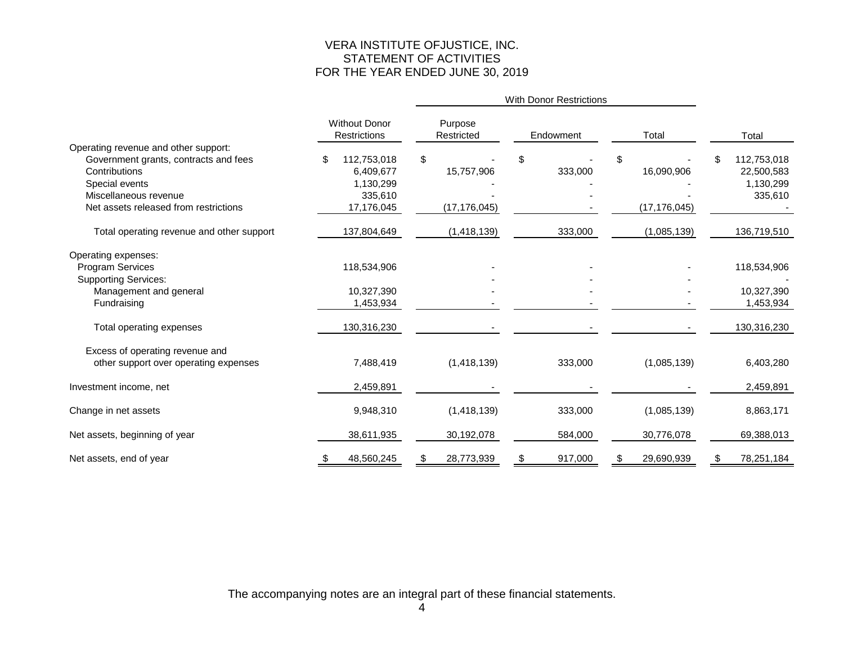## VERA INSTITUTE OFJUSTICE, INC. STATEMENT OF ACTIVITIES FOR THE YEAR ENDED JUNE 30, 2019

|                                           |                                             |             |                       | With Donor Restrictions |               |                |             |
|-------------------------------------------|---------------------------------------------|-------------|-----------------------|-------------------------|---------------|----------------|-------------|
|                                           | <b>Without Donor</b><br><b>Restrictions</b> |             | Purpose<br>Restricted |                         | Endowment     | Total          | Total       |
| Operating revenue and other support:      |                                             |             |                       |                         |               |                |             |
| Government grants, contracts and fees     | \$                                          | 112,753,018 | \$                    |                         | \$            | \$             | 112,753,018 |
| Contributions                             |                                             | 6,409,677   |                       | 15,757,906              | 333,000       | 16,090,906     | 22,500,583  |
| Special events                            |                                             | 1,130,299   |                       |                         |               |                | 1,130,299   |
| Miscellaneous revenue                     |                                             | 335,610     |                       |                         |               |                | 335,610     |
| Net assets released from restrictions     |                                             | 17,176,045  |                       | (17, 176, 045)          |               | (17, 176, 045) |             |
| Total operating revenue and other support |                                             | 137,804,649 |                       | (1,418,139)             | 333,000       | (1,085,139)    | 136,719,510 |
| Operating expenses:                       |                                             |             |                       |                         |               |                |             |
| <b>Program Services</b>                   |                                             | 118,534,906 |                       |                         |               |                | 118,534,906 |
| <b>Supporting Services:</b>               |                                             |             |                       |                         |               |                |             |
| Management and general                    |                                             | 10,327,390  |                       |                         |               |                | 10,327,390  |
| Fundraising                               |                                             | 1,453,934   |                       |                         |               |                | 1,453,934   |
| Total operating expenses                  |                                             | 130,316,230 |                       |                         |               |                | 130,316,230 |
| Excess of operating revenue and           |                                             |             |                       |                         |               |                |             |
| other support over operating expenses     |                                             | 7,488,419   |                       | (1,418,139)             | 333,000       | (1,085,139)    | 6,403,280   |
| Investment income, net                    |                                             | 2,459,891   |                       |                         |               |                | 2,459,891   |
| Change in net assets                      |                                             | 9,948,310   |                       | (1,418,139)             | 333,000       | (1,085,139)    | 8,863,171   |
| Net assets, beginning of year             |                                             | 38,611,935  |                       | 30,192,078              | 584,000       | 30,776,078     | 69,388,013  |
| Net assets, end of year                   | ა                                           | 48,560,245  | P.                    | 28,773,939              | \$<br>917,000 | 29,690,939     | 78,251,184  |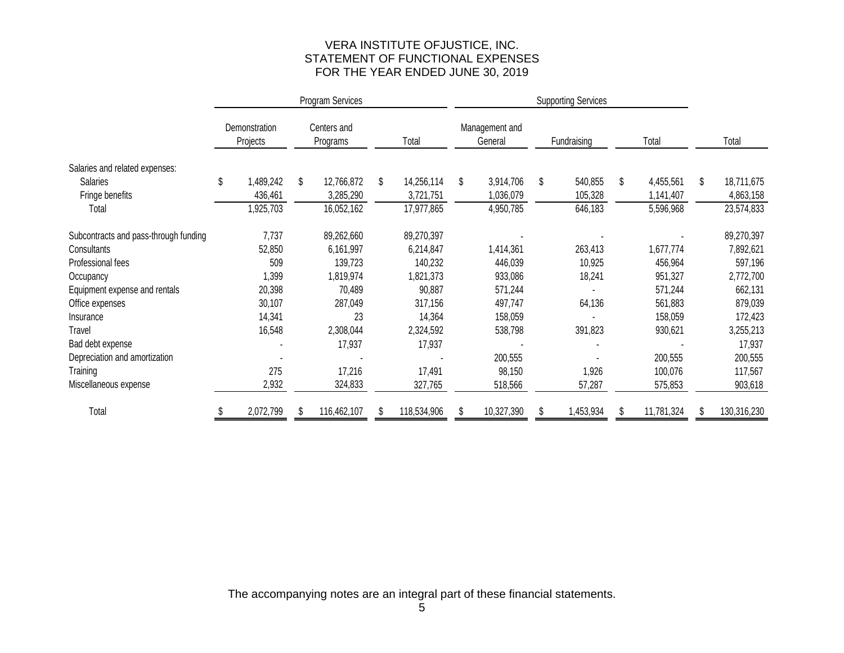## VERA INSTITUTE OFJUSTICE, INC. STATEMENT OF FUNCTIONAL EXPENSES FOR THE YEAR ENDED JUNE 30, 2019

|                                       | Program Services |                           |    |                         |       | <b>Supporting Services</b> |                           |            |             |           |       |            |                  |
|---------------------------------------|------------------|---------------------------|----|-------------------------|-------|----------------------------|---------------------------|------------|-------------|-----------|-------|------------|------------------|
|                                       |                  | Demonstration<br>Projects |    | Centers and<br>Programs | Total |                            | Management and<br>General |            | Fundraising |           | Total |            | Total            |
| Salaries and related expenses:        |                  |                           |    |                         |       |                            |                           |            |             |           |       |            |                  |
| <b>Salaries</b>                       | \$               | 1,489,242                 | \$ | 12,766,872              | \$    | 14,256,114                 | \$                        | 3,914,706  | \$          | 540,855   | \$    | 4,455,561  | \$<br>18,711,675 |
| Fringe benefits                       |                  | 436,461                   |    | 3,285,290               |       | 3,721,751                  |                           | 1,036,079  |             | 105,328   |       | 1,141,407  | 4,863,158        |
| Total                                 |                  | ,925,703                  |    | 16,052,162              |       | 17,977,865                 |                           | 4,950,785  |             | 646,183   |       | 5,596,968  | 23,574,833       |
| Subcontracts and pass-through funding |                  | 7,737                     |    | 89,262,660              |       | 89,270,397                 |                           |            |             |           |       |            | 89,270,397       |
| Consultants                           |                  | 52,850                    |    | 6,161,997               |       | 6,214,847                  |                           | 1,414,361  |             | 263,413   |       | 1,677,774  | 7,892,621        |
| Professional fees                     |                  | 509                       |    | 139,723                 |       | 140,232                    |                           | 446,039    |             | 10,925    |       | 456,964    | 597,196          |
| Occupancy                             |                  | ,399                      |    | 1,819,974               |       | 1,821,373                  |                           | 933,086    |             | 18,241    |       | 951,327    | 2,772,700        |
| Equipment expense and rentals         |                  | 20,398                    |    | 70,489                  |       | 90,887                     |                           | 571,244    |             |           |       | 571,244    | 662,131          |
| Office expenses                       |                  | 30,107                    |    | 287,049                 |       | 317,156                    |                           | 497,747    |             | 64,136    |       | 561,883    | 879,039          |
| Insurance                             |                  | 14,341                    |    | 23                      |       | 14,364                     |                           | 158,059    |             |           |       | 158,059    | 172,423          |
| Travel                                |                  | 16,548                    |    | 2,308,044               |       | 2,324,592                  |                           | 538,798    |             | 391,823   |       | 930,621    | 3,255,213        |
| Bad debt expense                      |                  |                           |    | 17,937                  |       | 17,937                     |                           |            |             |           |       |            | 17,937           |
| Depreciation and amortization         |                  |                           |    |                         |       |                            |                           | 200,555    |             |           |       | 200,555    | 200,555          |
| Training                              |                  | 275                       |    | 17,216                  |       | 17,491                     |                           | 98,150     |             | 1,926     |       | 100,076    | 117,567          |
| Miscellaneous expense                 |                  | 2,932                     |    | 324,833                 |       | 327,765                    |                           | 518,566    |             | 57,287    |       | 575,853    | 903,618          |
| Total                                 |                  | 2,072,799                 |    | 116,462,107             | \$.   | 118,534,906                |                           | 10,327,390 |             | 1,453,934 |       | 11,781,324 | 130,316,230      |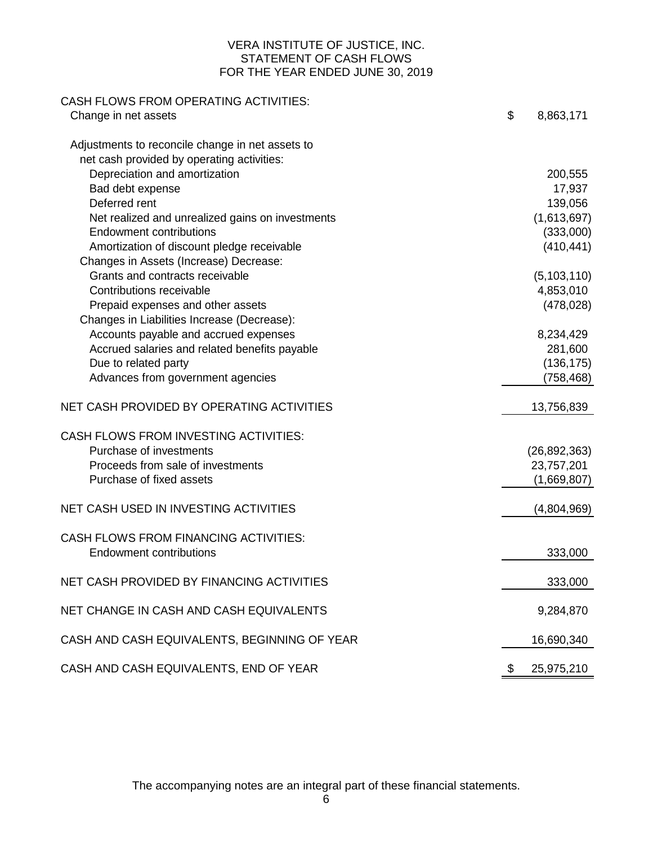## VERA INSTITUTE OF JUSTICE, INC. STATEMENT OF CASH FLOWS FOR THE YEAR ENDED JUNE 30, 2019

| <b>CASH FLOWS FROM OPERATING ACTIVITIES:</b>     |                  |
|--------------------------------------------------|------------------|
| Change in net assets                             | \$<br>8,863,171  |
| Adjustments to reconcile change in net assets to |                  |
| net cash provided by operating activities:       |                  |
| Depreciation and amortization                    | 200,555          |
| Bad debt expense                                 | 17,937           |
| Deferred rent                                    | 139,056          |
| Net realized and unrealized gains on investments | (1,613,697)      |
| <b>Endowment contributions</b>                   | (333,000)        |
| Amortization of discount pledge receivable       | (410, 441)       |
| Changes in Assets (Increase) Decrease:           |                  |
| Grants and contracts receivable                  | (5, 103, 110)    |
| Contributions receivable                         | 4,853,010        |
| Prepaid expenses and other assets                | (478, 028)       |
| Changes in Liabilities Increase (Decrease):      |                  |
| Accounts payable and accrued expenses            | 8,234,429        |
| Accrued salaries and related benefits payable    | 281,600          |
| Due to related party                             | (136, 175)       |
| Advances from government agencies                | (758, 468)       |
| NET CASH PROVIDED BY OPERATING ACTIVITIES        | 13,756,839       |
| <b>CASH FLOWS FROM INVESTING ACTIVITIES:</b>     |                  |
| Purchase of investments                          | (26, 892, 363)   |
| Proceeds from sale of investments                | 23,757,201       |
| Purchase of fixed assets                         | (1,669,807)      |
| NET CASH USED IN INVESTING ACTIVITIES            | (4,804,969)      |
| <b>CASH FLOWS FROM FINANCING ACTIVITIES:</b>     |                  |
| <b>Endowment contributions</b>                   | 333,000          |
| NET CASH PROVIDED BY FINANCING ACTIVITIES        | 333,000          |
|                                                  |                  |
| NET CHANGE IN CASH AND CASH EQUIVALENTS          | 9,284,870        |
| CASH AND CASH EQUIVALENTS, BEGINNING OF YEAR     | 16,690,340       |
| CASH AND CASH EQUIVALENTS, END OF YEAR           | 25,975,210<br>\$ |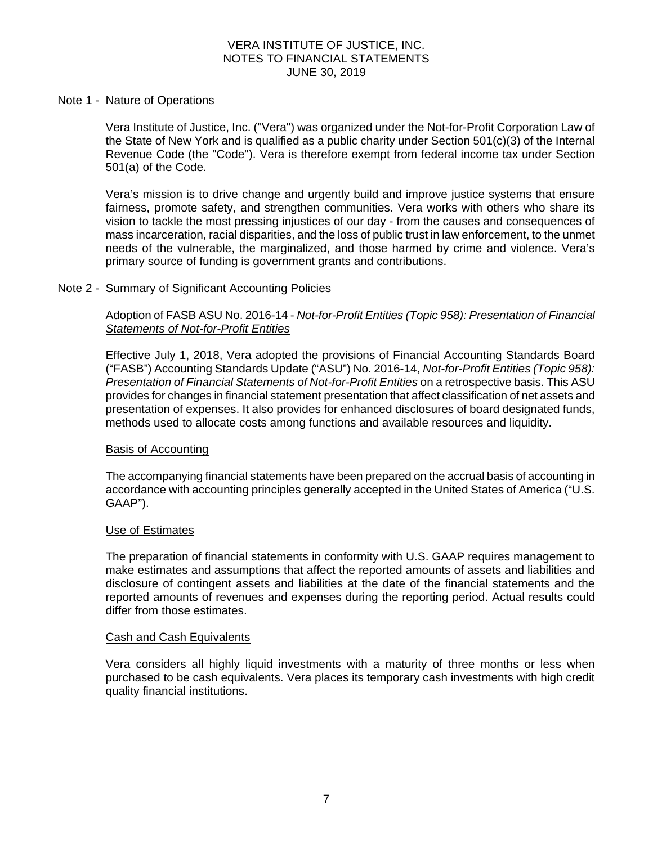#### Note 1 - Nature of Operations

Vera Institute of Justice, Inc. ("Vera") was organized under the Not-for-Profit Corporation Law of the State of New York and is qualified as a public charity under Section 501(c)(3) of the Internal Revenue Code (the "Code"). Vera is therefore exempt from federal income tax under Section 501(a) of the Code.

Vera's mission is to drive change and urgently build and improve justice systems that ensure fairness, promote safety, and strengthen communities. Vera works with others who share its vision to tackle the most pressing injustices of our day - from the causes and consequences of mass incarceration, racial disparities, and the loss of public trust in law enforcement, to the unmet needs of the vulnerable, the marginalized, and those harmed by crime and violence. Vera's primary source of funding is government grants and contributions.

#### Note 2 - Summary of Significant Accounting Policies

## Adoption of FASB ASU No. 2016-14 - *Not-for-Profit Entities (Topic 958): Presentation of Financial Statements of Not-for-Profit Entities*

Effective July 1, 2018, Vera adopted the provisions of Financial Accounting Standards Board ("FASB") Accounting Standards Update ("ASU") No. 2016-14, *Not-for-Profit Entities (Topic 958): Presentation of Financial Statements of Not-for-Profit Entities* on a retrospective basis. This ASU provides for changes in financial statement presentation that affect classification of net assets and presentation of expenses. It also provides for enhanced disclosures of board designated funds, methods used to allocate costs among functions and available resources and liquidity.

#### Basis of Accounting

The accompanying financial statements have been prepared on the accrual basis of accounting in accordance with accounting principles generally accepted in the United States of America ("U.S. GAAP").

#### Use of Estimates

The preparation of financial statements in conformity with U.S. GAAP requires management to make estimates and assumptions that affect the reported amounts of assets and liabilities and disclosure of contingent assets and liabilities at the date of the financial statements and the reported amounts of revenues and expenses during the reporting period. Actual results could differ from those estimates.

#### Cash and Cash Equivalents

Vera considers all highly liquid investments with a maturity of three months or less when purchased to be cash equivalents. Vera places its temporary cash investments with high credit quality financial institutions.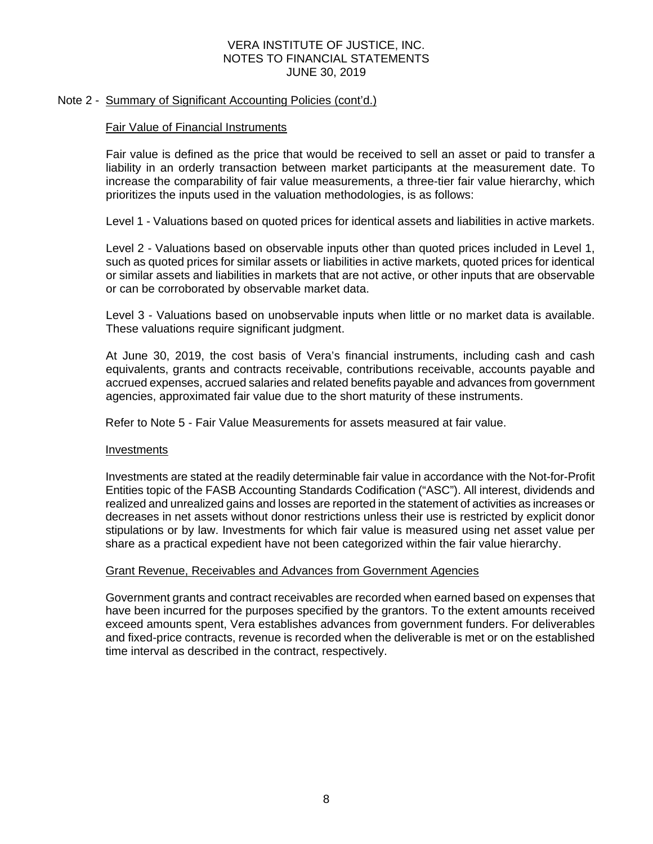## Note 2 - Summary of Significant Accounting Policies (cont'd.)

## Fair Value of Financial Instruments

Fair value is defined as the price that would be received to sell an asset or paid to transfer a liability in an orderly transaction between market participants at the measurement date. To increase the comparability of fair value measurements, a three-tier fair value hierarchy, which prioritizes the inputs used in the valuation methodologies, is as follows:

Level 1 - Valuations based on quoted prices for identical assets and liabilities in active markets.

Level 2 - Valuations based on observable inputs other than quoted prices included in Level 1, such as quoted prices for similar assets or liabilities in active markets, quoted prices for identical or similar assets and liabilities in markets that are not active, or other inputs that are observable or can be corroborated by observable market data.

Level 3 - Valuations based on unobservable inputs when little or no market data is available. These valuations require significant judgment.

At June 30, 2019, the cost basis of Vera's financial instruments, including cash and cash equivalents, grants and contracts receivable, contributions receivable, accounts payable and accrued expenses, accrued salaries and related benefits payable and advances from government agencies, approximated fair value due to the short maturity of these instruments.

Refer to Note 5 - Fair Value Measurements for assets measured at fair value.

#### Investments

Investments are stated at the readily determinable fair value in accordance with the Not-for-Profit Entities topic of the FASB Accounting Standards Codification ("ASC"). All interest, dividends and realized and unrealized gains and losses are reported in the statement of activities as increases or decreases in net assets without donor restrictions unless their use is restricted by explicit donor stipulations or by law. Investments for which fair value is measured using net asset value per share as a practical expedient have not been categorized within the fair value hierarchy.

#### Grant Revenue, Receivables and Advances from Government Agencies

Government grants and contract receivables are recorded when earned based on expenses that have been incurred for the purposes specified by the grantors. To the extent amounts received exceed amounts spent, Vera establishes advances from government funders. For deliverables and fixed-price contracts, revenue is recorded when the deliverable is met or on the established time interval as described in the contract, respectively.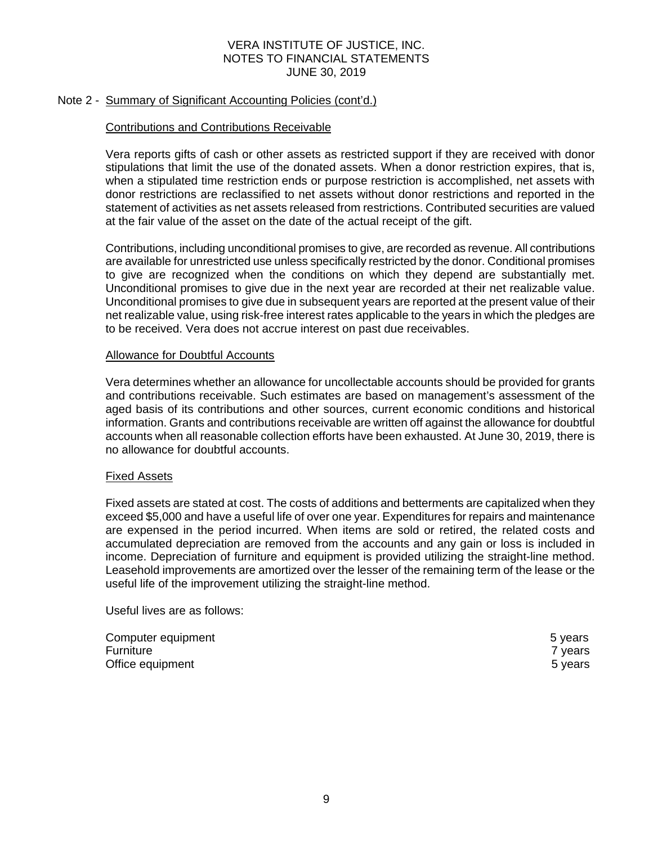## Note 2 - Summary of Significant Accounting Policies (cont'd.)

## Contributions and Contributions Receivable

Vera reports gifts of cash or other assets as restricted support if they are received with donor stipulations that limit the use of the donated assets. When a donor restriction expires, that is, when a stipulated time restriction ends or purpose restriction is accomplished, net assets with donor restrictions are reclassified to net assets without donor restrictions and reported in the statement of activities as net assets released from restrictions. Contributed securities are valued at the fair value of the asset on the date of the actual receipt of the gift.

Contributions, including unconditional promises to give, are recorded as revenue. All contributions are available for unrestricted use unless specifically restricted by the donor. Conditional promises to give are recognized when the conditions on which they depend are substantially met. Unconditional promises to give due in the next year are recorded at their net realizable value. Unconditional promises to give due in subsequent years are reported at the present value of their net realizable value, using risk-free interest rates applicable to the years in which the pledges are to be received. Vera does not accrue interest on past due receivables.

#### Allowance for Doubtful Accounts

Vera determines whether an allowance for uncollectable accounts should be provided for grants and contributions receivable. Such estimates are based on management's assessment of the aged basis of its contributions and other sources, current economic conditions and historical information. Grants and contributions receivable are written off against the allowance for doubtful accounts when all reasonable collection efforts have been exhausted. At June 30, 2019, there is no allowance for doubtful accounts.

#### Fixed Assets

Fixed assets are stated at cost. The costs of additions and betterments are capitalized when they exceed \$5,000 and have a useful life of over one year. Expenditures for repairs and maintenance are expensed in the period incurred. When items are sold or retired, the related costs and accumulated depreciation are removed from the accounts and any gain or loss is included in income. Depreciation of furniture and equipment is provided utilizing the straight-line method. Leasehold improvements are amortized over the lesser of the remaining term of the lease or the useful life of the improvement utilizing the straight-line method.

Useful lives are as follows:

| Computer equipment | 5 years            |
|--------------------|--------------------|
| Furniture          | <sup>7</sup> vears |
| Office equipment   | 5 years            |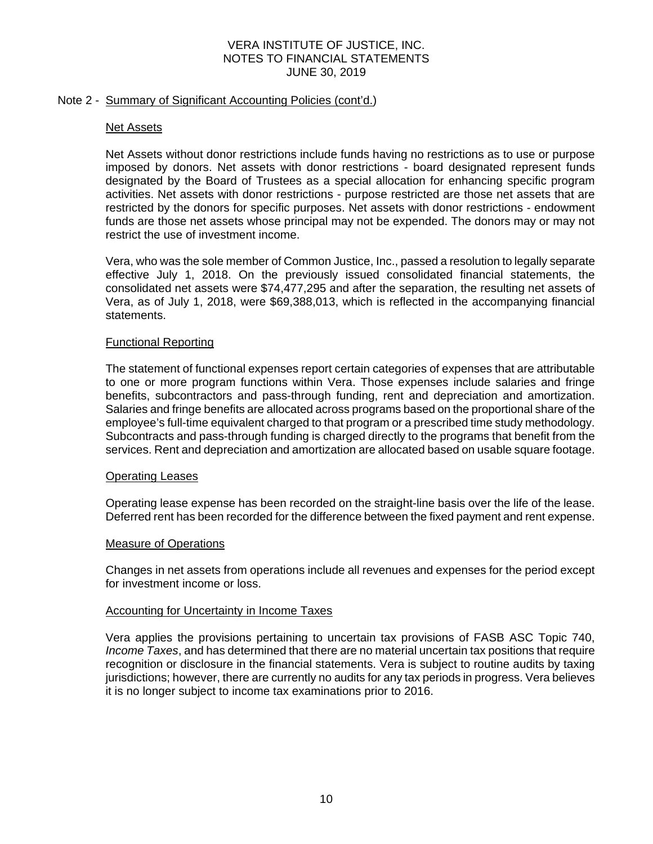## Note 2 - Summary of Significant Accounting Policies (cont'd.)

#### Net Assets

Net Assets without donor restrictions include funds having no restrictions as to use or purpose imposed by donors. Net assets with donor restrictions - board designated represent funds designated by the Board of Trustees as a special allocation for enhancing specific program activities. Net assets with donor restrictions - purpose restricted are those net assets that are restricted by the donors for specific purposes. Net assets with donor restrictions - endowment funds are those net assets whose principal may not be expended. The donors may or may not restrict the use of investment income.

Vera, who was the sole member of Common Justice, Inc., passed a resolution to legally separate effective July 1, 2018. On the previously issued consolidated financial statements, the consolidated net assets were \$74,477,295 and after the separation, the resulting net assets of Vera, as of July 1, 2018, were \$69,388,013, which is reflected in the accompanying financial statements.

## Functional Reporting

The statement of functional expenses report certain categories of expenses that are attributable to one or more program functions within Vera. Those expenses include salaries and fringe benefits, subcontractors and pass-through funding, rent and depreciation and amortization. Salaries and fringe benefits are allocated across programs based on the proportional share of the employee's full-time equivalent charged to that program or a prescribed time study methodology. Subcontracts and pass-through funding is charged directly to the programs that benefit from the services. Rent and depreciation and amortization are allocated based on usable square footage.

#### Operating Leases

Operating lease expense has been recorded on the straight-line basis over the life of the lease. Deferred rent has been recorded for the difference between the fixed payment and rent expense.

#### Measure of Operations

Changes in net assets from operations include all revenues and expenses for the period except for investment income or loss.

#### Accounting for Uncertainty in Income Taxes

Vera applies the provisions pertaining to uncertain tax provisions of FASB ASC Topic 740, *Income Taxes*, and has determined that there are no material uncertain tax positions that require recognition or disclosure in the financial statements. Vera is subject to routine audits by taxing jurisdictions; however, there are currently no audits for any tax periods in progress. Vera believes it is no longer subject to income tax examinations prior to 2016.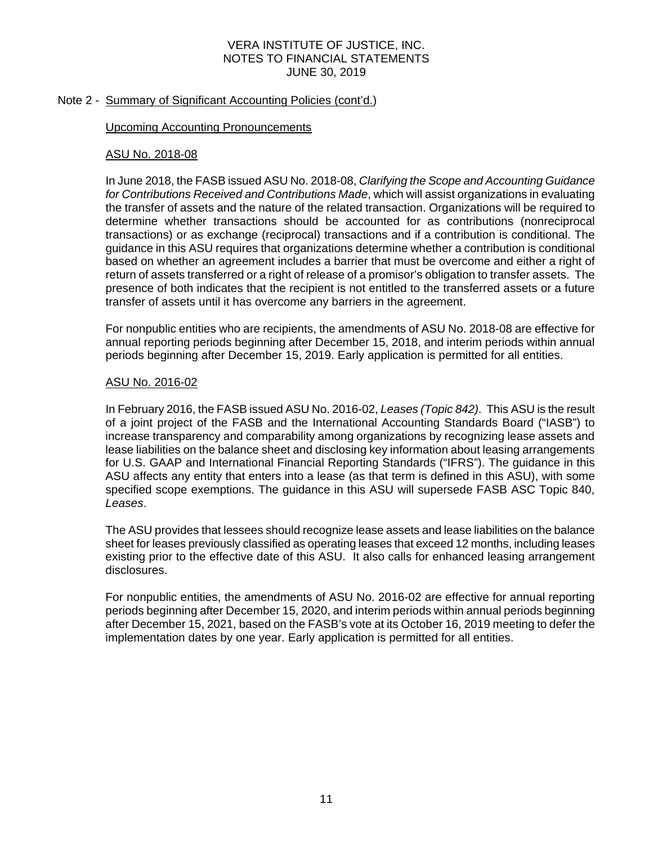## Note 2 - Summary of Significant Accounting Policies (cont'd.)

#### Upcoming Accounting Pronouncements

#### ASU No. 2018-08

In June 2018, the FASB issued ASU No. 2018-08, *Clarifying the Scope and Accounting Guidance for Contributions Received and Contributions Made*, which will assist organizations in evaluating the transfer of assets and the nature of the related transaction. Organizations will be required to determine whether transactions should be accounted for as contributions (nonreciprocal transactions) or as exchange (reciprocal) transactions and if a contribution is conditional. The guidance in this ASU requires that organizations determine whether a contribution is conditional based on whether an agreement includes a barrier that must be overcome and either a right of return of assets transferred or a right of release of a promisor's obligation to transfer assets. The presence of both indicates that the recipient is not entitled to the transferred assets or a future transfer of assets until it has overcome any barriers in the agreement.

For nonpublic entities who are recipients, the amendments of ASU No. 2018-08 are effective for annual reporting periods beginning after December 15, 2018, and interim periods within annual periods beginning after December 15, 2019. Early application is permitted for all entities.

#### ASU No. 2016-02

In February 2016, the FASB issued ASU No. 2016-02, *Leases (Topic 842)*. This ASU is the result of a joint project of the FASB and the International Accounting Standards Board ("IASB") to increase transparency and comparability among organizations by recognizing lease assets and lease liabilities on the balance sheet and disclosing key information about leasing arrangements for U.S. GAAP and International Financial Reporting Standards ("IFRS"). The guidance in this ASU affects any entity that enters into a lease (as that term is defined in this ASU), with some specified scope exemptions. The guidance in this ASU will supersede FASB ASC Topic 840, *Leases*.

The ASU provides that lessees should recognize lease assets and lease liabilities on the balance sheet for leases previously classified as operating leases that exceed 12 months, including leases existing prior to the effective date of this ASU. It also calls for enhanced leasing arrangement disclosures.

For nonpublic entities, the amendments of ASU No. 2016-02 are effective for annual reporting periods beginning after December 15, 2020, and interim periods within annual periods beginning after December 15, 2021, based on the FASB's vote at its October 16, 2019 meeting to defer the implementation dates by one year. Early application is permitted for all entities.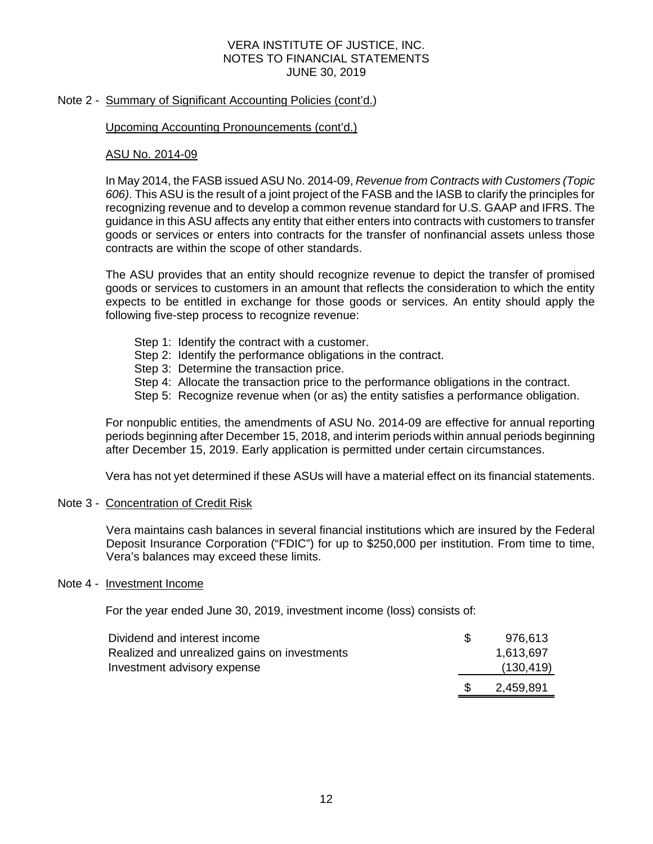## Note 2 - Summary of Significant Accounting Policies (cont'd.)

#### Upcoming Accounting Pronouncements (cont'd.)

## ASU No. 2014-09

In May 2014, the FASB issued ASU No. 2014-09, *Revenue from Contracts with Customers (Topic 606)*. This ASU is the result of a joint project of the FASB and the IASB to clarify the principles for recognizing revenue and to develop a common revenue standard for U.S. GAAP and IFRS. The guidance in this ASU affects any entity that either enters into contracts with customers to transfer goods or services or enters into contracts for the transfer of nonfinancial assets unless those contracts are within the scope of other standards.

The ASU provides that an entity should recognize revenue to depict the transfer of promised goods or services to customers in an amount that reflects the consideration to which the entity expects to be entitled in exchange for those goods or services. An entity should apply the following five-step process to recognize revenue:

- Step 1: Identify the contract with a customer.
- Step 2: Identify the performance obligations in the contract.
- Step 3: Determine the transaction price.
- Step 4: Allocate the transaction price to the performance obligations in the contract.
- Step 5: Recognize revenue when (or as) the entity satisfies a performance obligation.

For nonpublic entities, the amendments of ASU No. 2014-09 are effective for annual reporting periods beginning after December 15, 2018, and interim periods within annual periods beginning after December 15, 2019. Early application is permitted under certain circumstances.

Vera has not yet determined if these ASUs will have a material effect on its financial statements.

#### Note 3 - Concentration of Credit Risk

Vera maintains cash balances in several financial institutions which are insured by the Federal Deposit Insurance Corporation ("FDIC") for up to \$250,000 per institution. From time to time, Vera's balances may exceed these limits.

#### Note 4 - Investment Income

For the year ended June 30, 2019, investment income (loss) consists of:

| Dividend and interest income                 |  | 976.613    |
|----------------------------------------------|--|------------|
| Realized and unrealized gains on investments |  | 1,613,697  |
| Investment advisory expense                  |  | (130, 419) |
|                                              |  | 2,459,891  |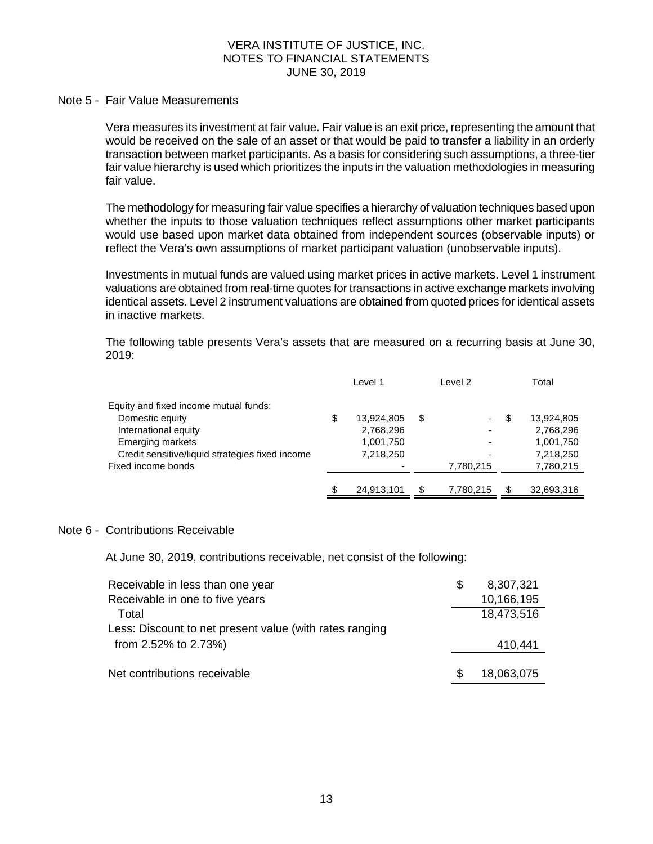#### Note 5 - Fair Value Measurements

Vera measures its investment at fair value. Fair value is an exit price, representing the amount that would be received on the sale of an asset or that would be paid to transfer a liability in an orderly transaction between market participants. As a basis for considering such assumptions, a three-tier fair value hierarchy is used which prioritizes the inputs in the valuation methodologies in measuring fair value.

The methodology for measuring fair value specifies a hierarchy of valuation techniques based upon whether the inputs to those valuation techniques reflect assumptions other market participants would use based upon market data obtained from independent sources (observable inputs) or reflect the Vera's own assumptions of market participant valuation (unobservable inputs).

Investments in mutual funds are valued using market prices in active markets. Level 1 instrument valuations are obtained from real-time quotes for transactions in active exchange markets involving identical assets. Level 2 instrument valuations are obtained from quoted prices for identical assets in inactive markets.

The following table presents Vera's assets that are measured on a recurring basis at June 30, 2019:

|                                                 | Level 1          |    | Level 2                  |   | Total      |
|-------------------------------------------------|------------------|----|--------------------------|---|------------|
| Equity and fixed income mutual funds:           |                  |    |                          |   |            |
| Domestic equity                                 | \$<br>13,924,805 | S  | ۰                        | S | 13,924,805 |
| International equity                            | 2,768,296        |    | ۰                        |   | 2,768,296  |
| Emerging markets                                | 1,001,750        |    | $\overline{\phantom{0}}$ |   | 1,001,750  |
| Credit sensitive/liquid strategies fixed income | 7,218,250        |    | -                        |   | 7,218,250  |
| Fixed income bonds                              |                  |    | 7,780,215                |   | 7,780,215  |
|                                                 |                  |    |                          |   |            |
|                                                 | \$<br>24,913,101 | \$ | 7,780,215                |   | 32,693,316 |

#### Note 6 - Contributions Receivable

At June 30, 2019, contributions receivable, net consist of the following:

| Receivable in less than one year                        | S | 8,307,321  |
|---------------------------------------------------------|---|------------|
| Receivable in one to five years                         |   | 10,166,195 |
| Total                                                   |   | 18,473,516 |
| Less: Discount to net present value (with rates ranging |   |            |
| from 2.52% to 2.73%)                                    |   | 410,441    |
|                                                         |   |            |
| Net contributions receivable                            |   | 18,063,075 |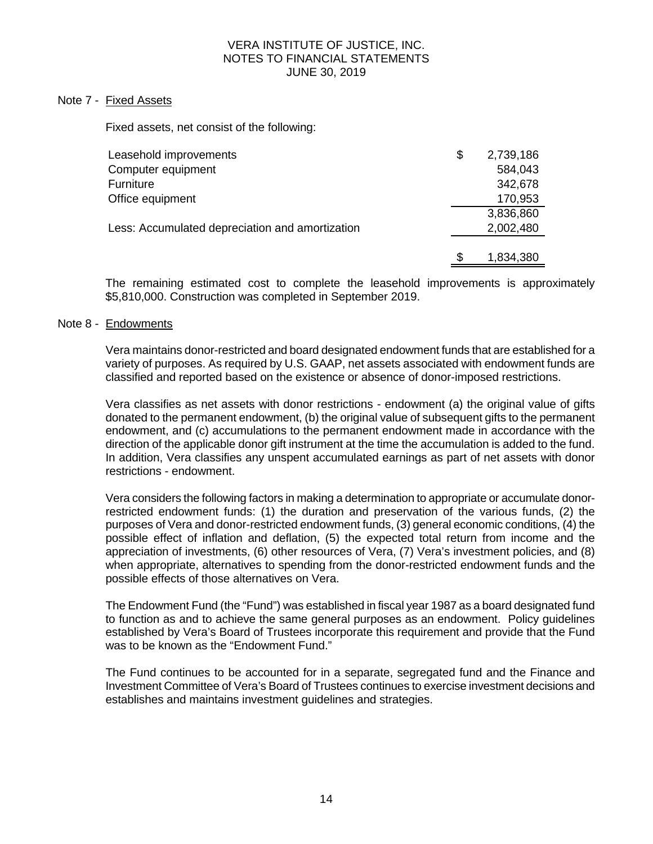#### Note 7 - Fixed Assets

Fixed assets, net consist of the following:

| Leasehold improvements                          | \$  | 2,739,186 |
|-------------------------------------------------|-----|-----------|
| Computer equipment                              |     | 584,043   |
| Furniture                                       |     | 342,678   |
| Office equipment                                |     | 170,953   |
|                                                 |     | 3,836,860 |
| Less: Accumulated depreciation and amortization |     | 2,002,480 |
|                                                 |     |           |
|                                                 | \$. | 1,834,380 |

The remaining estimated cost to complete the leasehold improvements is approximately \$5,810,000. Construction was completed in September 2019.

#### Note 8 - Endowments

Vera maintains donor-restricted and board designated endowment funds that are established for a variety of purposes. As required by U.S. GAAP, net assets associated with endowment funds are classified and reported based on the existence or absence of donor-imposed restrictions.

Vera classifies as net assets with donor restrictions - endowment (a) the original value of gifts donated to the permanent endowment, (b) the original value of subsequent gifts to the permanent endowment, and (c) accumulations to the permanent endowment made in accordance with the direction of the applicable donor gift instrument at the time the accumulation is added to the fund. In addition, Vera classifies any unspent accumulated earnings as part of net assets with donor restrictions - endowment.

Vera considers the following factors in making a determination to appropriate or accumulate donorrestricted endowment funds: (1) the duration and preservation of the various funds, (2) the purposes of Vera and donor-restricted endowment funds, (3) general economic conditions, (4) the possible effect of inflation and deflation, (5) the expected total return from income and the appreciation of investments, (6) other resources of Vera, (7) Vera's investment policies, and (8) when appropriate, alternatives to spending from the donor-restricted endowment funds and the possible effects of those alternatives on Vera.

The Endowment Fund (the "Fund") was established in fiscal year 1987 as a board designated fund to function as and to achieve the same general purposes as an endowment. Policy guidelines established by Vera's Board of Trustees incorporate this requirement and provide that the Fund was to be known as the "Endowment Fund."

The Fund continues to be accounted for in a separate, segregated fund and the Finance and Investment Committee of Vera's Board of Trustees continues to exercise investment decisions and establishes and maintains investment guidelines and strategies.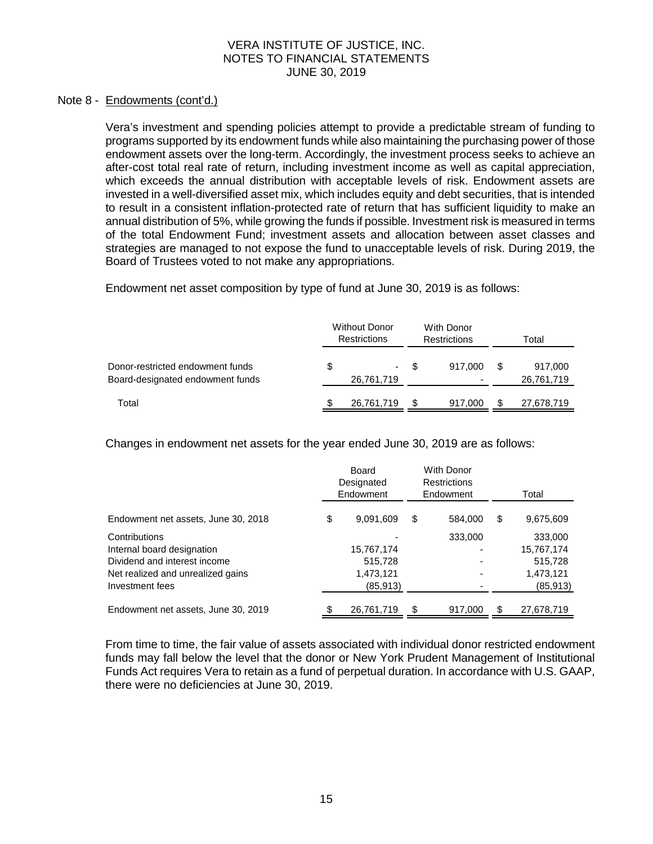## Note 8 - Endowments (cont'd.)

Vera's investment and spending policies attempt to provide a predictable stream of funding to programs supported by its endowment funds while also maintaining the purchasing power of those endowment assets over the long-term. Accordingly, the investment process seeks to achieve an after-cost total real rate of return, including investment income as well as capital appreciation, which exceeds the annual distribution with acceptable levels of risk. Endowment assets are invested in a well-diversified asset mix, which includes equity and debt securities, that is intended to result in a consistent inflation-protected rate of return that has sufficient liquidity to make an annual distribution of 5%, while growing the funds if possible. Investment risk is measured in terms of the total Endowment Fund; investment assets and allocation between asset classes and strategies are managed to not expose the fund to unacceptable levels of risk. During 2019, the Board of Trustees voted to not make any appropriations.

Endowment net asset composition by type of fund at June 30, 2019 is as follows:

|                                                                      | <b>Without Donor</b><br><b>Restrictions</b> |                  |     | With Donor<br><b>Restrictions</b> | Total |                       |  |
|----------------------------------------------------------------------|---------------------------------------------|------------------|-----|-----------------------------------|-------|-----------------------|--|
| Donor-restricted endowment funds<br>Board-designated endowment funds | \$                                          | ۰.<br>26,761,719 | \$. | 917.000                           | S     | 917,000<br>26,761,719 |  |
| Total                                                                |                                             | 26,761,719       |     | 917,000                           |       | 27,678,719            |  |

Changes in endowment net assets for the year ended June 30, 2019 are as follows:

|                                     | Board<br>Designated<br>Endowment | With Donor<br>Restrictions<br>Endowment | Total           |
|-------------------------------------|----------------------------------|-----------------------------------------|-----------------|
| Endowment net assets, June 30, 2018 | \$<br>9,091,609                  | \$<br>584.000                           | \$<br>9,675,609 |
| Contributions                       |                                  | 333,000                                 | 333,000         |
| Internal board designation          | 15,767,174                       |                                         | 15,767,174      |
| Dividend and interest income        | 515,728                          |                                         | 515,728         |
| Net realized and unrealized gains   | 1,473,121                        |                                         | 1,473,121       |
| Investment fees                     | (85,913)                         |                                         | (85, 913)       |
| Endowment net assets, June 30, 2019 | 26,761,719                       | 917,000                                 | 27,678,719      |

From time to time, the fair value of assets associated with individual donor restricted endowment funds may fall below the level that the donor or New York Prudent Management of Institutional Funds Act requires Vera to retain as a fund of perpetual duration. In accordance with U.S. GAAP, there were no deficiencies at June 30, 2019.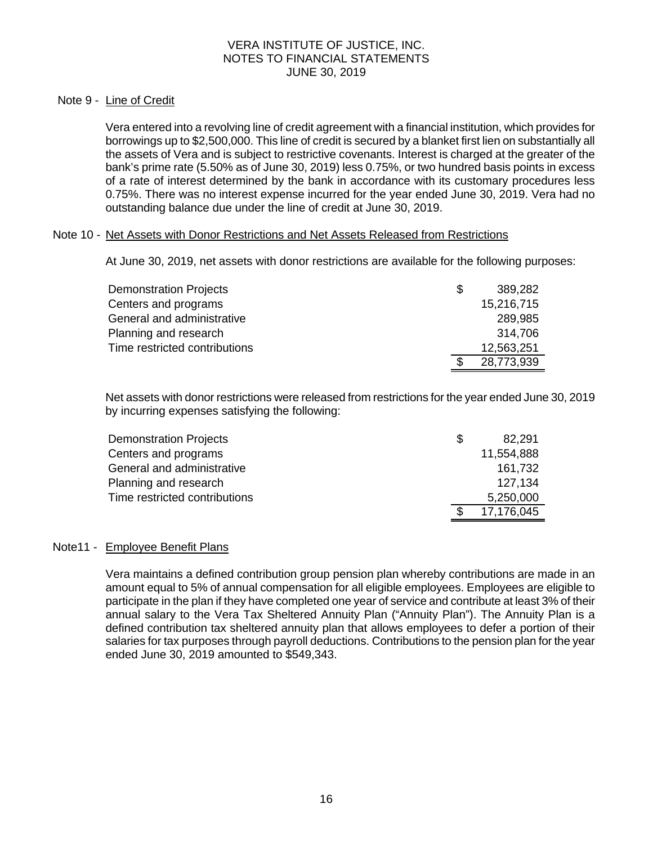## Note 9 - Line of Credit

Vera entered into a revolving line of credit agreement with a financial institution, which provides for borrowings up to \$2,500,000. This line of credit is secured by a blanket first lien on substantially all the assets of Vera and is subject to restrictive covenants. Interest is charged at the greater of the bank's prime rate (5.50% as of June 30, 2019) less 0.75%, or two hundred basis points in excess of a rate of interest determined by the bank in accordance with its customary procedures less 0.75%. There was no interest expense incurred for the year ended June 30, 2019. Vera had no outstanding balance due under the line of credit at June 30, 2019.

## Note 10 - Net Assets with Donor Restrictions and Net Assets Released from Restrictions

At June 30, 2019, net assets with donor restrictions are available for the following purposes:

| <b>Demonstration Projects</b> | \$.  | 389,282    |
|-------------------------------|------|------------|
| Centers and programs          |      | 15,216,715 |
| General and administrative    |      | 289,985    |
| Planning and research         |      | 314,706    |
| Time restricted contributions |      | 12,563,251 |
|                               | - \$ | 28,773,939 |

Net assets with donor restrictions were released from restrictions for the year ended June 30, 2019 by incurring expenses satisfying the following:

| <b>Demonstration Projects</b> | -S | 82,291     |
|-------------------------------|----|------------|
| Centers and programs          |    | 11,554,888 |
| General and administrative    |    | 161.732    |
| Planning and research         |    | 127.134    |
| Time restricted contributions |    | 5,250,000  |
|                               | £. | 17,176,045 |

### Note11 - Employee Benefit Plans

Vera maintains a defined contribution group pension plan whereby contributions are made in an amount equal to 5% of annual compensation for all eligible employees. Employees are eligible to participate in the plan if they have completed one year of service and contribute at least 3% of their annual salary to the Vera Tax Sheltered Annuity Plan ("Annuity Plan"). The Annuity Plan is a defined contribution tax sheltered annuity plan that allows employees to defer a portion of their salaries for tax purposes through payroll deductions. Contributions to the pension plan for the year ended June 30, 2019 amounted to \$549,343.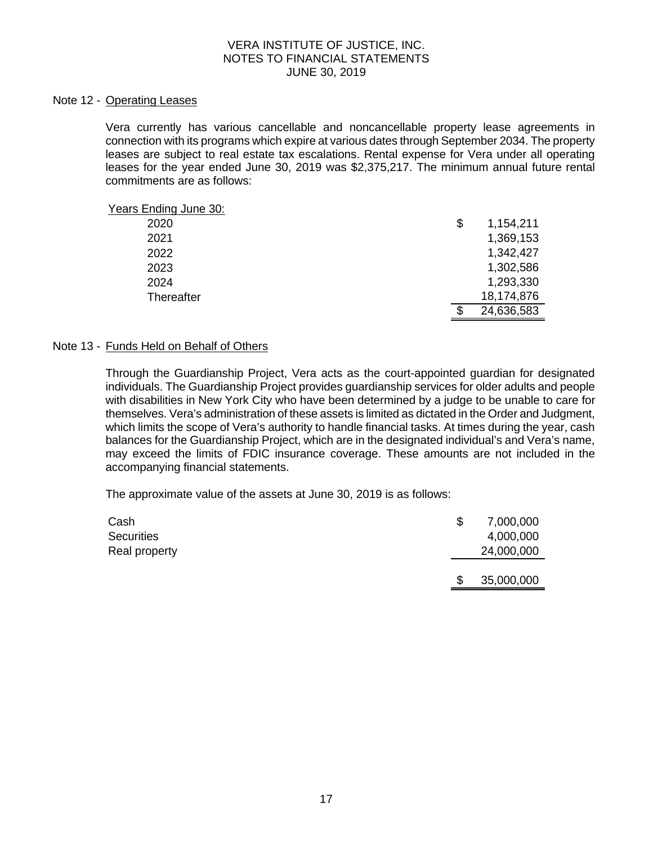#### Note 12 - Operating Leases

Vera currently has various cancellable and noncancellable property lease agreements in connection with its programs which expire at various dates through September 2034. The property leases are subject to real estate tax escalations. Rental expense for Vera under all operating leases for the year ended June 30, 2019 was \$2,375,217. The minimum annual future rental commitments are as follows:

| Years Ending June 30: |     |            |
|-----------------------|-----|------------|
| 2020                  | \$  | 1,154,211  |
| 2021                  |     | 1,369,153  |
| 2022                  |     | 1,342,427  |
| 2023                  |     | 1,302,586  |
| 2024                  |     | 1,293,330  |
| Thereafter            |     | 18,174,876 |
|                       | \$. | 24,636,583 |

#### Note 13 - Funds Held on Behalf of Others

Through the Guardianship Project, Vera acts as the court-appointed guardian for designated individuals. The Guardianship Project provides guardianship services for older adults and people with disabilities in New York City who have been determined by a judge to be unable to care for themselves. Vera's administration of these assets is limited as dictated in the Order and Judgment, which limits the scope of Vera's authority to handle financial tasks. At times during the year, cash balances for the Guardianship Project, which are in the designated individual's and Vera's name, may exceed the limits of FDIC insurance coverage. These amounts are not included in the accompanying financial statements.

The approximate value of the assets at June 30, 2019 is as follows:

| Cash<br><b>Securities</b> | \$. | 7,000,000<br>4,000,000 |
|---------------------------|-----|------------------------|
| Real property             |     | 24,000,000             |
|                           | \$. | 35,000,000             |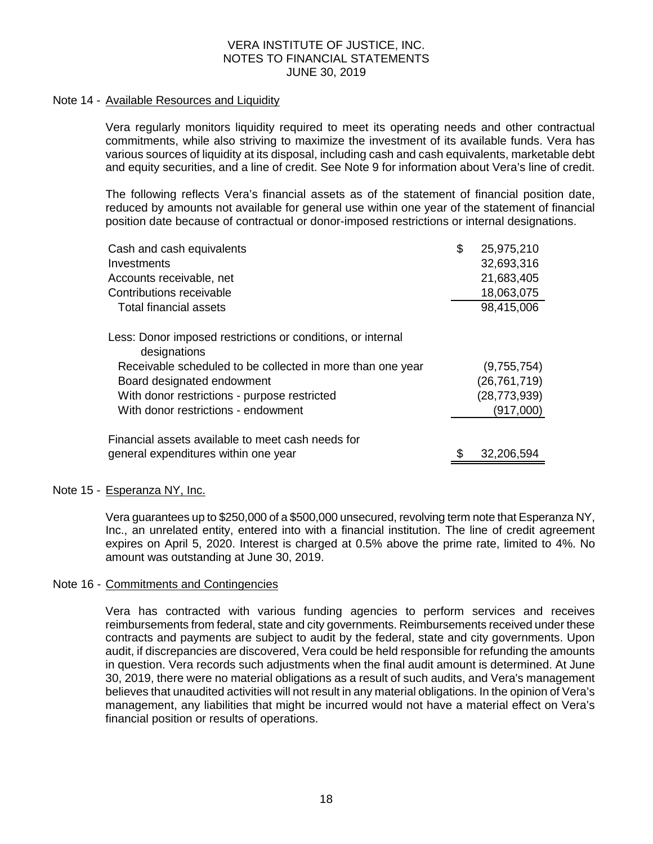#### Note 14 - Available Resources and Liquidity

Vera regularly monitors liquidity required to meet its operating needs and other contractual commitments, while also striving to maximize the investment of its available funds. Vera has various sources of liquidity at its disposal, including cash and cash equivalents, marketable debt and equity securities, and a line of credit. See Note 9 for information about Vera's line of credit.

The following reflects Vera's financial assets as of the statement of financial position date, reduced by amounts not available for general use within one year of the statement of financial position date because of contractual or donor-imposed restrictions or internal designations.

| Cash and cash equivalents                                                   | \$<br>25,975,210 |
|-----------------------------------------------------------------------------|------------------|
| Investments                                                                 | 32,693,316       |
| Accounts receivable, net                                                    | 21,683,405       |
| Contributions receivable                                                    | 18,063,075       |
| Total financial assets                                                      | 98,415,006       |
| Less: Donor imposed restrictions or conditions, or internal<br>designations |                  |
| Receivable scheduled to be collected in more than one year                  | (9,755,754)      |
| Board designated endowment                                                  | (26, 761, 719)   |
| With donor restrictions - purpose restricted                                | (28, 773, 939)   |
| With donor restrictions - endowment                                         | (917,000)        |
| Financial assets available to meet cash needs for                           |                  |
| general expenditures within one year                                        | 32,206,594       |
|                                                                             |                  |

#### Note 15 - Esperanza NY, Inc.

Vera guarantees up to \$250,000 of a \$500,000 unsecured, revolving term note that Esperanza NY, Inc., an unrelated entity, entered into with a financial institution. The line of credit agreement expires on April 5, 2020. Interest is charged at 0.5% above the prime rate, limited to 4%. No amount was outstanding at June 30, 2019.

#### Note 16 - Commitments and Contingencies

Vera has contracted with various funding agencies to perform services and receives reimbursements from federal, state and city governments. Reimbursements received under these contracts and payments are subject to audit by the federal, state and city governments. Upon audit, if discrepancies are discovered, Vera could be held responsible for refunding the amounts in question. Vera records such adjustments when the final audit amount is determined. At June 30, 2019, there were no material obligations as a result of such audits, and Vera's management believes that unaudited activities will not result in any material obligations. In the opinion of Vera's management, any liabilities that might be incurred would not have a material effect on Vera's financial position or results of operations.